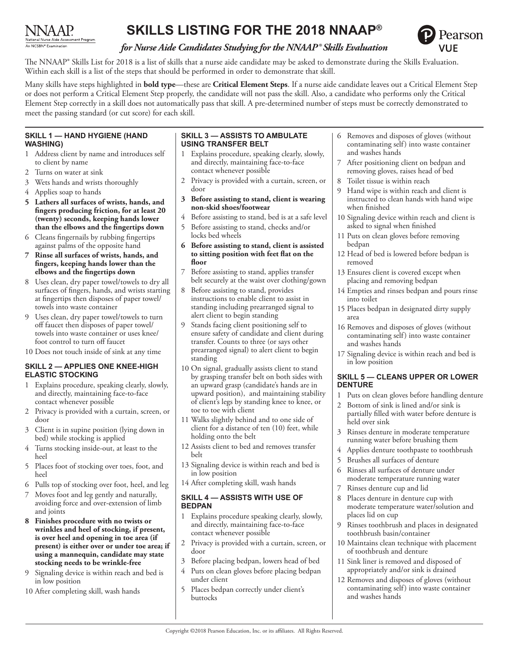

# **SKILLS LISTING FOR THE 2018 NNAAP®**



# *for Nurse Aide Candidates Studying for the NNAAP® Skills Evaluation*

The NNAAP® Skills List for 2018 is a list of skills that a nurse aide candidate may be asked to demonstrate during the Skills Evaluation. Within each skill is a list of the steps that should be performed in order to demonstrate that skill.

Many skills have steps highlighted in **bold type**—these are **Critical Element Steps**. If a nurse aide candidate leaves out a Critical Element Step or does not perform a Critical Element Step properly, the candidate will not pass the skill. Also, a candidate who performs only the Critical Element Step correctly in a skill does not automatically pass that skill. A pre-determined number of steps must be correctly demonstrated to meet the passing standard (or cut score) for each skill.

# **SKILL 1 — HAND HYGIENE (HAND WASHING)**

- 1 Address client by name and introduces self to client by name
- 2 Turns on water at sink
- 3 Wets hands and wrists thoroughly
- 4 Applies soap to hands
- **5 Lathers all surfaces of wrists, hands, and fingers producing friction, for at least 20 (twenty) seconds, keeping hands lower than the elbows and the fingertips down**
- 6 Cleans fingernails by rubbing fingertips against palms of the opposite hand
- **7 Rinse all surfaces of wrists, hands, and fingers, keeping hands lower than the elbows and the fingertips down**
- 8 Uses clean, dry paper towel/towels to dry all surfaces of fingers, hands, and wrists starting at fingertips then disposes of paper towel/ towels into waste container
- 9 Uses clean, dry paper towel/towels to turn off faucet then disposes of paper towel/ towels into waste container or uses knee/ foot control to turn off faucet
- 10 Does not touch inside of sink at any time

# **SKILL 2 — APPLIES ONE KNEE-HIGH ELASTIC STOCKING**

- 1 Explains procedure, speaking clearly, slowly, and directly, maintaining face-to-face contact whenever possible
- 2 Privacy is provided with a curtain, screen, or door
- 3 Client is in supine position (lying down in bed) while stocking is applied
- 4 Turns stocking inside-out, at least to the heel
- 5 Places foot of stocking over toes, foot, and heel
- 6 Pulls top of stocking over foot, heel, and leg
- 7 Moves foot and leg gently and naturally, avoiding force and over-extension of limb and joints
- **8 Finishes procedure with no twists or wrinkles and heel of stocking, if present, is over heel and opening in toe area (if present) is either over or under toe area; if using a mannequin, candidate may state stocking needs to be wrinkle-free**
- 9 Signaling device is within reach and bed is in low position
- 10 After completing skill, wash hands

# **SKILL 3 — ASSISTS TO AMBULATE USING TRANSFER BELT**

- 1 Explains procedure, speaking clearly, slowly, and directly, maintaining face-to-face contact whenever possible
- 2 Privacy is provided with a curtain, screen, or door
- **3 Before assisting to stand, client is wearing non-skid shoes/footwear**
- Before assisting to stand, bed is at a safe level
- 5 Before assisting to stand, checks and/or locks bed wheels
- **6 Before assisting to stand, client is assisted to sitting position with feet flat on the floor**
- Before assisting to stand, applies transfer belt securely at the waist over clothing/gown
- 8 Before assisting to stand, provides instructions to enable client to assist in standing including prearranged signal to alert client to begin standing
- Stands facing client positioning self to ensure safety of candidate and client during transfer. Counts to three (or says other prearranged signal) to alert client to begin standing
- 10 On signal, gradually assists client to stand by grasping transfer belt on both sides with an upward grasp (candidate's hands are in upward position), and maintaining stability of client's legs by standing knee to knee, or toe to toe with client
- 11 Walks slightly behind and to one side of client for a distance of ten (10) feet, while holding onto the belt
- 12 Assists client to bed and removes transfer belt
- 13 Signaling device is within reach and bed is in low position
- 14 After completing skill, wash hands

### **SKILL 4 — ASSISTS WITH USE OF BEDPAN**

- 1 Explains procedure speaking clearly, slowly, and directly, maintaining face-to-face contact whenever possible
- 2 Privacy is provided with a curtain, screen, or door
- 3 Before placing bedpan, lowers head of bed
- 4 Puts on clean gloves before placing bedpan under client
- 5 Places bedpan correctly under client's buttocks
- 6 Removes and disposes of gloves (without contaminating self) into waste container and washes hands
- After positioning client on bedpan and removing gloves, raises head of bed
- Toilet tissue is within reach
- Hand wipe is within reach and client is instructed to clean hands with hand wipe when finished
- 10 Signaling device within reach and client is asked to signal when finished
- 11 Puts on clean gloves before removing bedpan
- 12 Head of bed is lowered before bedpan is removed
- 13 Ensures client is covered except when placing and removing bedpan
- 14 Empties and rinses bedpan and pours rinse into toilet
- 15 Places bedpan in designated dirty supply area
- 16 Removes and disposes of gloves (without contaminating self) into waste container and washes hands
- 17 Signaling device is within reach and bed is in low position

# **SKILL 5 — CLEANS UPPER OR LOWER DENTURE**

- 1 Puts on clean gloves before handling denture
- 2 Bottom of sink is lined and/or sink is partially filled with water before denture is held over sink
- 3 Rinses denture in moderate temperature running water before brushing them
- 4 Applies denture toothpaste to toothbrush
- 5 Brushes all surfaces of denture
- 6 Rinses all surfaces of denture under moderate temperature running water
- 7 Rinses denture cup and lid
- 8 Places denture in denture cup with moderate temperature water/solution and places lid on cup
- Rinses toothbrush and places in designated toothbrush basin/container
- 10 Maintains clean technique with placement of toothbrush and denture
- 11 Sink liner is removed and disposed of appropriately and/or sink is drained
- 12 Removes and disposes of gloves (without contaminating self) into waste container and washes hands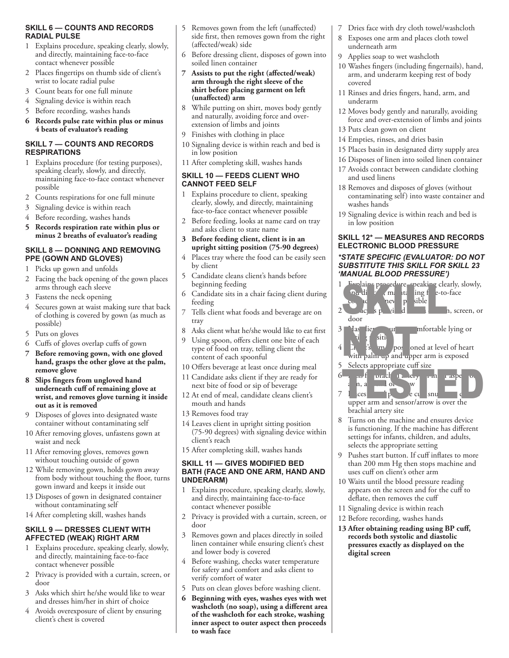# **SKILL 6 — COUNTS AND RECORDS RADIAL PULSE**

- 1 Explains procedure, speaking clearly, slowly, and directly, maintaining face-to-face contact whenever possible
- 2 Places fingertips on thumb side of client's wrist to locate radial pulse
- 3 Count beats for one full minute
- 4 Signaling device is within reach
- 5 Before recording, washes hands
- **6 Records pulse rate within plus or minus 4 beats of evaluator's reading**

# **SKILL 7 — COUNTS AND RECORDS RESPIRATIONS**

- 1 Explains procedure (for testing purposes), speaking clearly, slowly, and directly, maintaining face-to-face contact whenever possible
- 2 Counts respirations for one full minute
- 3 Signaling device is within reach
- 4 Before recording, washes hands
- **5 Records respiration rate within plus or minus 2 breaths of evaluator's reading**

#### **SKILL 8 — DONNING AND REMOVING PPE (GOWN AND GLOVES)**

- 1 Picks up gown and unfolds
- 2 Facing the back opening of the gown places arms through each sleeve
- 3 Fastens the neck opening
- 4 Secures gown at waist making sure that back of clothing is covered by gown (as much as possible)
- 5 Puts on gloves
- 6 Cuffs of gloves overlap cuffs of gown
- **7 Before removing gown, with one gloved hand, grasps the other glove at the palm, remove glove**
- **8 Slips fingers from ungloved hand underneath cuff of remaining glove at wrist, and removes glove turning it inside out as it is removed**
- 9 Disposes of gloves into designated waste container without contaminating self
- 10 After removing gloves, unfastens gown at waist and neck
- 11 After removing gloves, removes gown without touching outside of gown
- 12 While removing gown, holds gown away from body without touching the floor, turns gown inward and keeps it inside out
- 13 Disposes of gown in designated container without contaminating self
- 14 After completing skill, washes hands

# **SKILL 9 — DRESSES CLIENT WITH AFFECTED (WEAK) RIGHT ARM**

- 1 Explains procedure, speaking clearly, slowly, and directly, maintaining face-to-face contact whenever possible
- 2 Privacy is provided with a curtain, screen, or door
- 3 Asks which shirt he/she would like to wear and dresses him/her in shirt of choice
- 4 Avoids overexposure of client by ensuring client's chest is covered
- 5 Removes gown from the left (unaffected) side first, then removes gown from the right (affected/weak) side
- 6 Before dressing client, disposes of gown into soiled linen container
- **7 Assists to put the right (affected/weak) arm through the right sleeve of the shirt before placing garment on left (unaffected) arm**
- 8 While putting on shirt, moves body gently and naturally, avoiding force and overextension of limbs and joints
- 9 Finishes with clothing in place
- 10 Signaling device is within reach and bed is in low position
- 11 After completing skill, washes hands

# **SKILL 10 — FEEDS CLIENT WHO CANNOT FEED SELF**

- 1 Explains procedure to client, speaking clearly, slowly, and directly, maintaining face-to-face contact whenever possible
- 2 Before feeding, looks at name card on tray and asks client to state name
- **3 Before feeding client, client is in an upright sitting position (75-90 degrees)**
- 4 Places tray where the food can be easily seen by client
- 5 Candidate cleans client's hands before beginning feeding
- 6 Candidate sits in a chair facing client during feeding
- 7 Tells client what foods and beverage are on tray
- 8 Asks client what he/she would like to eat first
- Using spoon, offers client one bite of each type of food on tray, telling client the content of each spoonful
- 10 Offers beverage at least once during meal
- 11 Candidate asks client if they are ready for next bite of food or sip of beverage
- 12 At end of meal, candidate cleans client's mouth and hands
- 13 Removes food tray
- 14 Leaves client in upright sitting position (75-90 degrees) with signaling device within client's reach
- 15 After completing skill, washes hands

#### **SKILL 11 — GIVES MODIFIED BED BATH (FACE AND ONE ARM, HAND AND UNDERARM)**

- 1 Explains procedure, speaking clearly, slowly, and directly, maintaining face-to-face contact whenever possible
- 2 Privacy is provided with a curtain, screen, or door
- 3 Removes gown and places directly in soiled linen container while ensuring client's chest and lower body is covered
- 4 Before washing, checks water temperature for safety and comfort and asks client to verify comfort of water
- 5 Puts on clean gloves before washing client.
- **6 Beginning with eyes, washes eyes with wet washcloth (no soap), using a different area of the washcloth for each stroke, washing inner aspect to outer aspect then proceeds to wash face**
- 7 Dries face with dry cloth towel/washcloth
- 8 Exposes one arm and places cloth towel underneath arm
- 9 Applies soap to wet washcloth
- 10 Washes fingers (including fingernails), hand, arm, and underarm keeping rest of body covered
- 11 Rinses and dries fingers, hand, arm, and underarm
- 12 Moves body gently and naturally, avoiding force and over-extension of limbs and joints
- 13 Puts clean gown on client
- 14 Empties, rinses, and dries basin
- 15 Places basin in designated dirty supply area
- 16 Disposes of linen into soiled linen container
- 17 Avoids contact between candidate clothing and used linens
- 18 Removes and disposes of gloves (without contaminating self) into waste container and washes hands
- 19 Signaling device is within reach and bed is in low position

#### **SKILL 12\* — MEASURES AND RECORDS ELECTRONIC BLOOD PRESSURE**

#### *\*STATE SPECIFIC (EVALUATOR: DO NOT SUBSTITUTE THIS SKILL FOR SKILL 23 'MANUAL BLOOD PRESSURE')*



- 11 Signaling device is within reach
- 12 Before recording, washes hands
- **13 After obtaining reading using BP cuff, records both systolic and diastolic pressures exactly as displayed on the digital screen**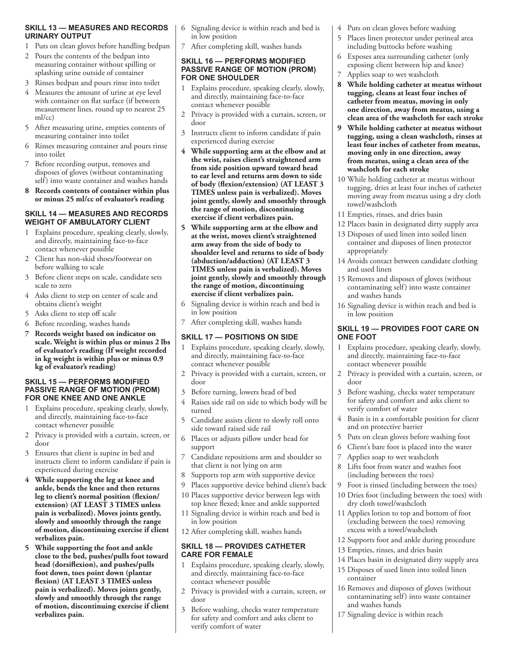# **SKILL 13 — MEASURES AND RECORDS URINARY OUTPUT**

- 1 Puts on clean gloves before handling bedpan
- 2 Pours the contents of the bedpan into measuring container without spilling or splashing urine outside of container
- 3 Rinses bedpan and pours rinse into toilet
- 4 Measures the amount of urine at eye level with container on flat surface (if between measurement lines, round up to nearest 25 ml/cc)
- 5 After measuring urine, empties contents of measuring container into toilet
- 6 Rinses measuring container and pours rinse into toilet
- 7 Before recording output, removes and disposes of gloves (without contaminating self) into waste container and washes hands
- **8 Records contents of container within plus or minus 25 ml/cc of evaluator's reading**

### **SKILL 14 — MEASURES AND RECORDS WEIGHT OF AMBULATORY CLIENT**

- 1 Explains procedure, speaking clearly, slowly, and directly, maintaining face-to-face contact whenever possible
- 2 Client has non-skid shoes/footwear on before walking to scale
- 3 Before client steps on scale, candidate sets scale to zero
- 4 Asks client to step on center of scale and obtains client's weight
- 5 Asks client to step off scale
- 6 Before recording, washes hands
- **7 Records weight based on indicator on scale. Weight is within plus or minus 2 lbs of evaluator's reading (If weight recorded in kg weight is within plus or minus 0.9 kg of evaluator's reading)**

#### **SKILL 15 — PERFORMS MODIFIED PASSIVE RANGE OF MOTION (PROM) FOR ONE KNEE AND ONE ANKLE**

- 1 Explains procedure, speaking clearly, slowly, and directly, maintaining face-to-face contact whenever possible
- 2 Privacy is provided with a curtain, screen, or door
- 3 Ensures that client is supine in bed and instructs client to inform candidate if pain is experienced during exercise
- **4 While supporting the leg at knee and ankle, bends the knee and then returns leg to client's normal position (flexion/ extension) (AT LEAST 3 TIMES unless pain is verbalized). Moves joints gently, slowly and smoothly through the range of motion, discontinuing exercise if client verbalizes pain.**
- **5 While supporting the foot and ankle close to the bed, pushes/pulls foot toward head (dorsiflexion), and pushes/pulls foot down, toes point down (plantar flexion) (AT LEAST 3 TIMES unless pain is verbalized). Moves joints gently, slowly and smoothly through the range of motion, discontinuing exercise if client verbalizes pain.**
- 6 Signaling device is within reach and bed is in low position
- 7 After completing skill, washes hands

#### **SKILL 16 — PERFORMS MODIFIED PASSIVE RANGE OF MOTION (PROM) FOR ONE SHOULDER**

- 1 Explains procedure, speaking clearly, slowly, and directly, maintaining face-to-face contact whenever possible
- 2 Privacy is provided with a curtain, screen, or door
- 3 Instructs client to inform candidate if pain experienced during exercise
- **4 While supporting arm at the elbow and at the wrist, raises client's straightened arm from side position upward toward head to ear level and returns arm down to side of body (flexion/extension) (AT LEAST 3 TIMES unless pain is verbalized). Moves joint gently, slowly and smoothly through the range of motion, discontinuing exercise if client verbalizes pain.**
- **5 While supporting arm at the elbow and at the wrist, moves client's straightened arm away from the side of body to shoulder level and returns to side of body (abduction/adduction) (AT LEAST 3 TIMES unless pain is verbalized). Moves joint gently, slowly and smoothly through the range of motion, discontinuing exercise if client verbalizes pain.**
- 6 Signaling device is within reach and bed is in low position
- 7 After completing skill, washes hands

# **SKILL 17 — POSITIONS ON SIDE**

- 1 Explains procedure, speaking clearly, slowly, and directly, maintaining face-to-face contact whenever possible
- 2 Privacy is provided with a curtain, screen, or door
- Before turning, lowers head of bed
- Raises side rail on side to which body will be turned
- Candidate assists client to slowly roll onto side toward raised side rail
- 6 Places or adjusts pillow under head for support
- Candidate repositions arm and shoulder so that client is not lying on arm
- 8 Supports top arm with supportive device
- 9 Places supportive device behind client's back
- 10 Places supportive device between legs with top knee flexed; knee and ankle supported
- 11 Signaling device is within reach and bed is in low position
- 12 After completing skill, washes hands

# **SKILL 18 — PROVIDES CATHETER CARE FOR FEMALE**

- 1 Explains procedure, speaking clearly, slowly, and directly, maintaining face-to-face contact whenever possible
- 2 Privacy is provided with a curtain, screen, or door
- 3 Before washing, checks water temperature for safety and comfort and asks client to verify comfort of water
- 4 Puts on clean gloves before washing
- 5 Places linen protector under perineal area including buttocks before washing
- 6 Exposes area surrounding catheter (only exposing client between hip and knee)
- Applies soap to wet washcloth
- **8 While holding catheter at meatus without tugging, cleans at least four inches of catheter from meatus, moving in only one direction, away from meatus, using a clean area of the washcloth for each stroke**
- **9 While holding catheter at meatus without tugging, using a clean washcloth, rinses at least four inches of catheter from meatus, moving only in one direction, away from meatus, using a clean area of the washcloth for each stroke**
- 10 While holding catheter at meatus without tugging, dries at least four inches of catheter moving away from meatus using a dry cloth towel/washcloth
- 11 Empties, rinses, and dries basin
- 12 Places basin in designated dirty supply area
- 13 Disposes of used linen into soiled linen container and disposes of linen protector appropriately
- 14 Avoids contact between candidate clothing and used linen
- 15 Removes and disposes of gloves (without contaminating self) into waste container and washes hands
- 16 Signaling device is within reach and bed is in low position

#### **SKILL 19 — PROVIDES FOOT CARE ON ONE FOOT**

- 1 Explains procedure, speaking clearly, slowly, and directly, maintaining face-to-face contact whenever possible
- 2 Privacy is provided with a curtain, screen, or door
- 3 Before washing, checks water temperature for safety and comfort and asks client to verify comfort of water
- Basin is in a comfortable position for client and on protective barrier
- 5 Puts on clean gloves before washing foot
- 6 Client's bare foot is placed into the water
- Applies soap to wet washcloth
- 8 Lifts foot from water and washes foot (including between the toes)
- 9 Foot is rinsed (including between the toes)
- 10 Dries foot (including between the toes) with dry cloth towel/washcloth
- 11 Applies lotion to top and bottom of foot (excluding between the toes) removing excess with a towel/washcloth
- 12 Supports foot and ankle during procedure
- 13 Empties, rinses, and dries basin
- 14 Places basin in designated dirty supply area
- 15 Disposes of used linen into soiled linen container
- 16 Removes and disposes of gloves (without contaminating self) into waste container and washes hands
- 17 Signaling device is within reach